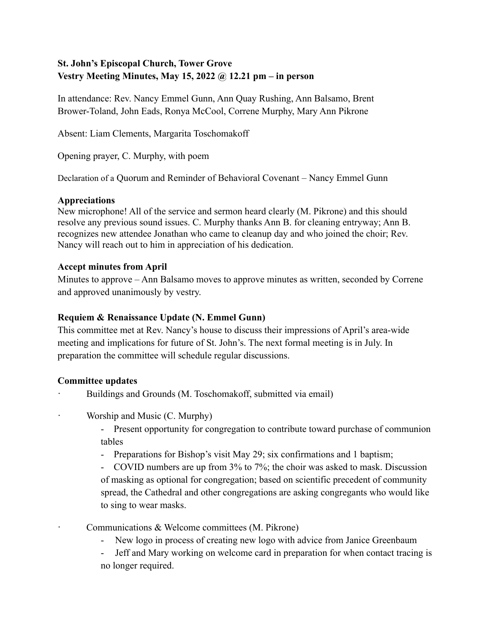## **St. John's Episcopal Church, Tower Grove Vestry Meeting Minutes, May 15, 2022 @ 12.21 pm – in person**

In attendance: Rev. Nancy Emmel Gunn, Ann Quay Rushing, Ann Balsamo, Brent Brower-Toland, John Eads, Ronya McCool, Correne Murphy, Mary Ann Pikrone

Absent: Liam Clements, Margarita Toschomakoff

Opening prayer, C. Murphy, with poem

Declaration of a Quorum and Reminder of Behavioral Covenant – Nancy Emmel Gunn

#### **Appreciations**

New microphone! All of the service and sermon heard clearly (M. Pikrone) and this should resolve any previous sound issues. C. Murphy thanks Ann B. for cleaning entryway; Ann B. recognizes new attendee Jonathan who came to cleanup day and who joined the choir; Rev. Nancy will reach out to him in appreciation of his dedication.

#### **Accept minutes from April**

Minutes to approve – Ann Balsamo moves to approve minutes as written, seconded by Correne and approved unanimously by vestry.

#### **Requiem & Renaissance Update (N. Emmel Gunn)**

This committee met at Rev. Nancy's house to discuss their impressions of April's area-wide meeting and implications for future of St. John's. The next formal meeting is in July. In preparation the committee will schedule regular discussions.

## **Committee updates**

- Buildings and Grounds (M. Toschomakoff, submitted via email)
- Worship and Music (C. Murphy)
	- Present opportunity for congregation to contribute toward purchase of communion tables
	- Preparations for Bishop's visit May 29; six confirmations and 1 baptism;
	- COVID numbers are up from 3% to 7%; the choir was asked to mask. Discussion of masking as optional for congregation; based on scientific precedent of community spread, the Cathedral and other congregations are asking congregants who would like to sing to wear masks.
	- Communications & Welcome committees (M. Pikrone)
		- New logo in process of creating new logo with advice from Janice Greenbaum
		- Jeff and Mary working on welcome card in preparation for when contact tracing is no longer required.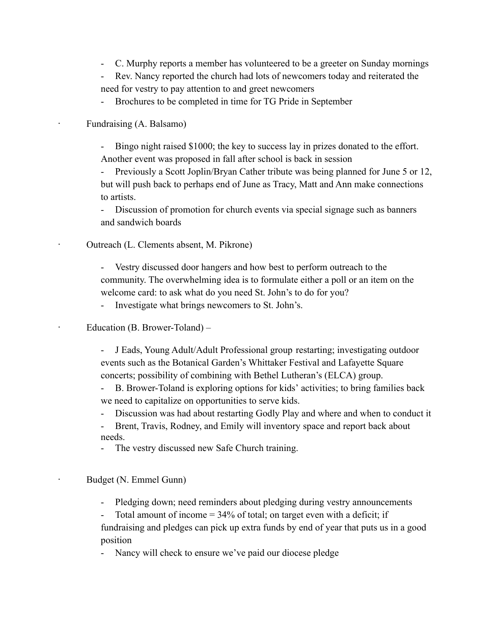- C. Murphy reports a member has volunteered to be a greeter on Sunday mornings
- Rev. Nancy reported the church had lots of newcomers today and reiterated the need for vestry to pay attention to and greet newcomers

- Brochures to be completed in time for TG Pride in September

· Fundraising (A. Balsamo)

Bingo night raised \$1000; the key to success lay in prizes donated to the effort. Another event was proposed in fall after school is back in session

Previously a Scott Joplin/Bryan Cather tribute was being planned for June 5 or 12, but will push back to perhaps end of June as Tracy, Matt and Ann make connections to artists.

- Discussion of promotion for church events via special signage such as banners and sandwich boards

· Outreach (L. Clements absent, M. Pikrone)

- Vestry discussed door hangers and how best to perform outreach to the community. The overwhelming idea is to formulate either a poll or an item on the welcome card: to ask what do you need St. John's to do for you?

- Investigate what brings newcomers to St. John's.

Education (B. Brower-Toland) –

- J Eads, Young Adult/Adult Professional group restarting; investigating outdoor events such as the Botanical Garden's Whittaker Festival and Lafayette Square concerts; possibility of combining with Bethel Lutheran's (ELCA) group.

- B. Brower-Toland is exploring options for kids' activities; to bring families back we need to capitalize on opportunities to serve kids.

Discussion was had about restarting Godly Play and where and when to conduct it

- Brent, Travis, Rodney, and Emily will inventory space and report back about needs.

- The vestry discussed new Safe Church training.

Budget (N. Emmel Gunn)

- Pledging down; need reminders about pledging during vestry announcements

Total amount of income  $= 34\%$  of total; on target even with a deficit; if fundraising and pledges can pick up extra funds by end of year that puts us in a good position

Nancy will check to ensure we've paid our diocese pledge